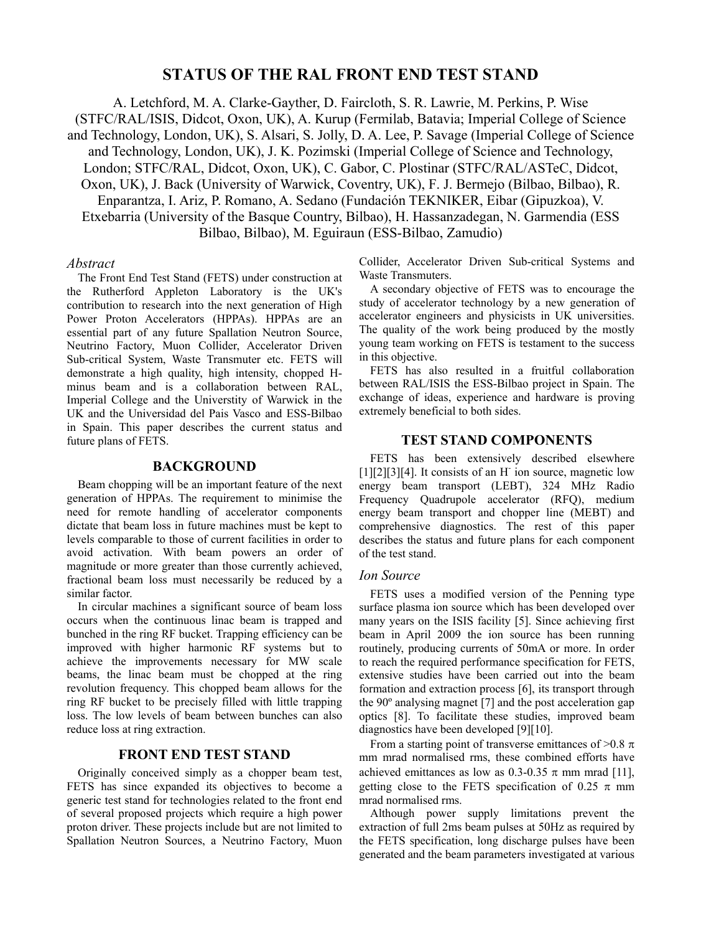# **STATUS OF THE RAL FRONT END TEST STAND**

A. Letchford, M. A. Clarke-Gayther, D. Faircloth, S. R. Lawrie, M. Perkins, P. Wise

(STFC/RAL/ISIS, Didcot, Oxon, UK), A. Kurup (Fermilab, Batavia; Imperial College of Science and Technology, London, UK), S. Alsari, S. Jolly, D. A. Lee, P. Savage (Imperial College of Science and Technology, London, UK), J. K. Pozimski (Imperial College of Science and Technology, London; STFC/RAL, Didcot, Oxon, UK), C. Gabor, C. Plostinar (STFC/RAL/ASTeC, Didcot, Oxon, UK), J. Back (University of Warwick, Coventry, UK), F. J. Bermejo (Bilbao, Bilbao), R. Enparantza, I. Ariz, P. Romano, A. Sedano (Fundación TEKNIKER, Eibar (Gipuzkoa), V. Etxebarria (University of the Basque Country, Bilbao), H. Hassanzadegan, N. Garmendia (ESS Bilbao, Bilbao), M. Eguiraun (ESS-Bilbao, Zamudio)

#### *Abstract*

The Front End Test Stand (FETS) under construction at the Rutherford Appleton Laboratory is the UK's contribution to research into the next generation of High Power Proton Accelerators (HPPAs). HPPAs are an essential part of any future Spallation Neutron Source, Neutrino Factory, Muon Collider, Accelerator Driven Sub-critical System, Waste Transmuter etc. FETS will demonstrate a high quality, high intensity, chopped Hminus beam and is a collaboration between RAL, Imperial College and the Universtity of Warwick in the UK and the Universidad del Pais Vasco and ESS-Bilbao in Spain. This paper describes the current status and future plans of FETS.

### **BACKGROUND**

Beam chopping will be an important feature of the next generation of HPPAs. The requirement to minimise the need for remote handling of accelerator components dictate that beam loss in future machines must be kept to levels comparable to those of current facilities in order to avoid activation. With beam powers an order of magnitude or more greater than those currently achieved, fractional beam loss must necessarily be reduced by a similar factor.

In circular machines a significant source of beam loss occurs when the continuous linac beam is trapped and bunched in the ring RF bucket. Trapping efficiency can be improved with higher harmonic RF systems but to achieve the improvements necessary for MW scale beams, the linac beam must be chopped at the ring revolution frequency. This chopped beam allows for the ring RF bucket to be precisely filled with little trapping loss. The low levels of beam between bunches can also reduce loss at ring extraction.

### **FRONT END TEST STAND**

Originally conceived simply as a chopper beam test, FETS has since expanded its objectives to become a generic test stand for technologies related to the front end of several proposed projects which require a high power proton driver. These projects include but are not limited to Spallation Neutron Sources, a Neutrino Factory, Muon Collider, Accelerator Driven Sub-critical Systems and Waste Transmuters.

A secondary objective of FETS was to encourage the study of accelerator technology by a new generation of accelerator engineers and physicists in UK universities. The quality of the work being produced by the mostly young team working on FETS is testament to the success in this objective.

FETS has also resulted in a fruitful collaboration between RAL/ISIS the ESS-Bilbao project in Spain. The exchange of ideas, experience and hardware is proving extremely beneficial to both sides.

### **TEST STAND COMPONENTS**

FETS has been extensively described elsewhere [1][2][3][4]. It consists of an H ion source, magnetic low energy beam transport (LEBT), 324 MHz Radio Frequency Quadrupole accelerator (RFQ), medium energy beam transport and chopper line (MEBT) and comprehensive diagnostics. The rest of this paper describes the status and future plans for each component of the test stand.

#### *Ion Source*

FETS uses a modified version of the Penning type surface plasma ion source which has been developed over many years on the ISIS facility [5]. Since achieving first beam in April 2009 the ion source has been running routinely, producing currents of 50mA or more. In order to reach the required performance specification for FETS, extensive studies have been carried out into the beam formation and extraction process [6], its transport through the 90º analysing magnet [7] and the post acceleration gap optics [8]. To facilitate these studies, improved beam diagnostics have been developed [9][10].

From a starting point of transverse emittances of  $>0.8 \pi$ mm mrad normalised rms, these combined efforts have achieved emittances as low as 0.3-0.35  $\pi$  mm mrad [11], getting close to the FETS specification of 0.25  $\pi$  mm mrad normalised rms.

Although power supply limitations prevent the extraction of full 2ms beam pulses at 50Hz as required by the FETS specification, long discharge pulses have been generated and the beam parameters investigated at various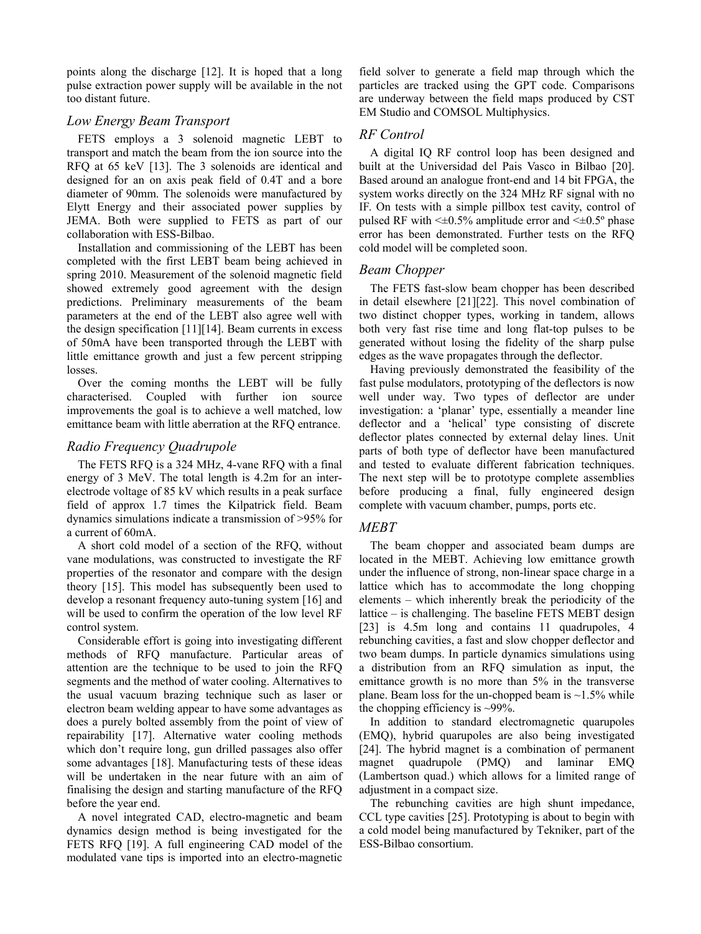points along the discharge [12]. It is hoped that a long pulse extraction power supply will be available in the not too distant future.

### *Low Energy Beam Transport*

FETS employs a 3 solenoid magnetic LEBT to transport and match the beam from the ion source into the RFQ at 65 keV [13]. The 3 solenoids are identical and designed for an on axis peak field of 0.4T and a bore diameter of 90mm. The solenoids were manufactured by Elytt Energy and their associated power supplies by JEMA. Both were supplied to FETS as part of our collaboration with ESS-Bilbao.

Installation and commissioning of the LEBT has been completed with the first LEBT beam being achieved in spring 2010. Measurement of the solenoid magnetic field showed extremely good agreement with the design predictions. Preliminary measurements of the beam parameters at the end of the LEBT also agree well with the design specification [11][14]. Beam currents in excess of 50mA have been transported through the LEBT with little emittance growth and just a few percent stripping losses.

Over the coming months the LEBT will be fully characterised. Coupled with further ion source improvements the goal is to achieve a well matched, low emittance beam with little aberration at the RFQ entrance.

### *Radio Frequency Quadrupole*

The FETS RFQ is a 324 MHz, 4-vane RFQ with a final energy of 3 MeV. The total length is 4.2m for an interelectrode voltage of 85 kV which results in a peak surface field of approx 1.7 times the Kilpatrick field. Beam dynamics simulations indicate a transmission of >95% for a current of 60mA.

A short cold model of a section of the RFQ, without vane modulations, was constructed to investigate the RF properties of the resonator and compare with the design theory [15]. This model has subsequently been used to develop a resonant frequency auto-tuning system [16] and will be used to confirm the operation of the low level RF control system.

Considerable effort is going into investigating different methods of RFQ manufacture. Particular areas of attention are the technique to be used to join the RFQ segments and the method of water cooling. Alternatives to the usual vacuum brazing technique such as laser or electron beam welding appear to have some advantages as does a purely bolted assembly from the point of view of repairability [17]. Alternative water cooling methods which don't require long, gun drilled passages also offer some advantages [18]. Manufacturing tests of these ideas will be undertaken in the near future with an aim of finalising the design and starting manufacture of the RFQ before the year end.

A novel integrated CAD, electro-magnetic and beam dynamics design method is being investigated for the FETS RFQ [19]. A full engineering CAD model of the modulated vane tips is imported into an electro-magnetic

field solver to generate a field map through which the particles are tracked using the GPT code. Comparisons are underway between the field maps produced by CST EM Studio and COMSOL Multiphysics.

# *RF Control*

A digital IQ RF control loop has been designed and built at the Universidad del Pais Vasco in Bilbao [20]. Based around an analogue front-end and 14 bit FPGA, the system works directly on the 324 MHz RF signal with no IF. On tests with a simple pillbox test cavity, control of pulsed RF with  $\leq 0.5\%$  amplitude error and  $\leq 0.5\%$  phase error has been demonstrated. Further tests on the RFQ cold model will be completed soon.

# *Beam Chopper*

The FETS fast-slow beam chopper has been described in detail elsewhere [21][22]. This novel combination of two distinct chopper types, working in tandem, allows both very fast rise time and long flat-top pulses to be generated without losing the fidelity of the sharp pulse edges as the wave propagates through the deflector.

Having previously demonstrated the feasibility of the fast pulse modulators, prototyping of the deflectors is now well under way. Two types of deflector are under investigation: a 'planar' type, essentially a meander line deflector and a 'helical' type consisting of discrete deflector plates connected by external delay lines. Unit parts of both type of deflector have been manufactured and tested to evaluate different fabrication techniques. The next step will be to prototype complete assemblies before producing a final, fully engineered design complete with vacuum chamber, pumps, ports etc.

# *MEBT*

The beam chopper and associated beam dumps are located in the MEBT. Achieving low emittance growth under the influence of strong, non-linear space charge in a lattice which has to accommodate the long chopping elements – which inherently break the periodicity of the lattice – is challenging. The baseline FETS MEBT design [23] is 4.5m long and contains 11 quadrupoles, 4 rebunching cavities, a fast and slow chopper deflector and two beam dumps. In particle dynamics simulations using a distribution from an RFQ simulation as input, the emittance growth is no more than 5% in the transverse plane. Beam loss for the un-chopped beam is  $\sim$ 1.5% while the chopping efficiency is  $\sim$ 99%.

In addition to standard electromagnetic quarupoles (EMQ), hybrid quarupoles are also being investigated [24]. The hybrid magnet is a combination of permanent magnet quadrupole (PMQ) and laminar EMQ (Lambertson quad.) which allows for a limited range of adjustment in a compact size.

The rebunching cavities are high shunt impedance, CCL type cavities [25]. Prototyping is about to begin with a cold model being manufactured by Tekniker, part of the ESS-Bilbao consortium.